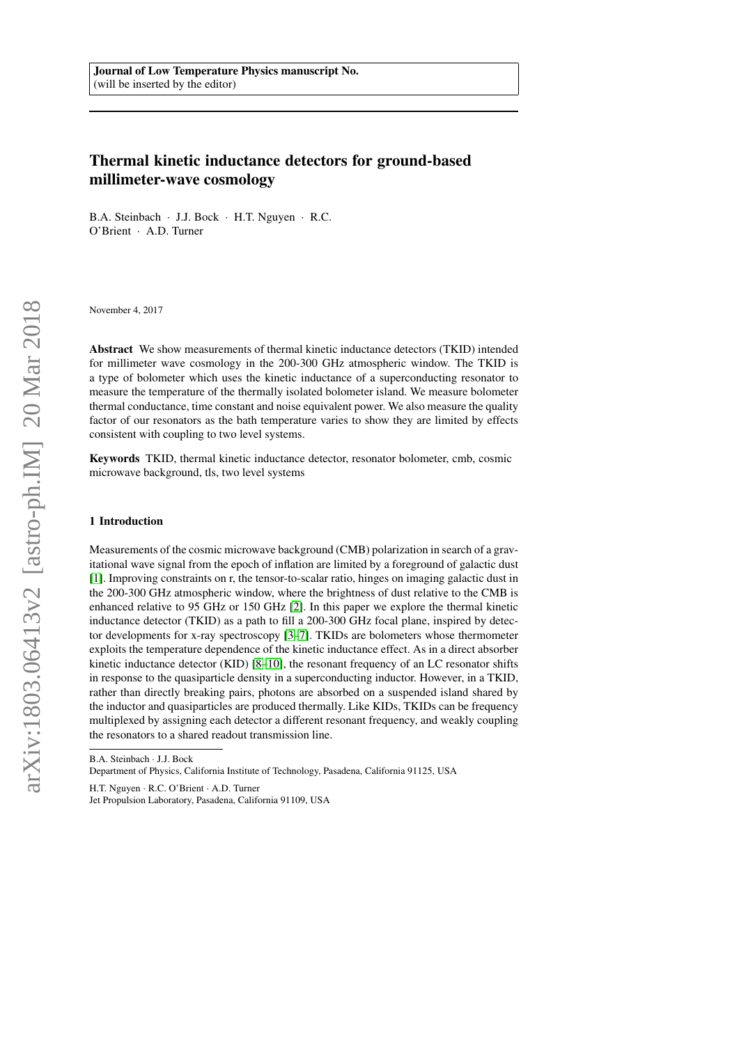# Thermal kinetic inductance detectors for ground-based millimeter-wave cosmology

B.A. Steinbach · J.J. Bock · H.T. Nguyen · R.C. O'Brient · A.D. Turner

November 4, 2017

Abstract We show measurements of thermal kinetic inductance detectors (TKID) intended for millimeter wave cosmology in the 200-300 GHz atmospheric window. The TKID is a type of bolometer which uses the kinetic inductance of a superconducting resonator to measure the temperature of the thermally isolated bolometer island. We measure bolometer thermal conductance, time constant and noise equivalent power. We also measure the quality factor of our resonators as the bath temperature varies to show they are limited by effects consistent with coupling to two level systems.

Keywords TKID, thermal kinetic inductance detector, resonator bolometer, cmb, cosmic microwave background, tls, two level systems

#### 1 Introduction

Measurements of the cosmic microwave background (CMB) polarization in search of a gravitational wave signal from the epoch of inflation are limited by a foreground of galactic dust [\[1\]](#page-6-0). Improving constraints on r, the tensor-to-scalar ratio, hinges on imaging galactic dust in the 200-300 GHz atmospheric window, where the brightness of dust relative to the CMB is enhanced relative to 95 GHz or 150 GHz [\[2\]](#page-6-1). In this paper we explore the thermal kinetic inductance detector (TKID) as a path to fill a 200-300 GHz focal plane, inspired by detector developments for x-ray spectroscopy [\[3–](#page-6-2)[7\]](#page-6-3). TKIDs are bolometers whose thermometer exploits the temperature dependence of the kinetic inductance effect. As in a direct absorber kinetic inductance detector (KID) [\[8–](#page-6-4)[10\]](#page-6-5), the resonant frequency of an LC resonator shifts in response to the quasiparticle density in a superconducting inductor. However, in a TKID, rather than directly breaking pairs, photons are absorbed on a suspended island shared by the inductor and quasiparticles are produced thermally. Like KIDs, TKIDs can be frequency multiplexed by assigning each detector a different resonant frequency, and weakly coupling the resonators to a shared readout transmission line.

B.A. Steinbach · J.J. Bock

H.T. Nguyen · R.C. O'Brient · A.D. Turner

Department of Physics, California Institute of Technology, Pasadena, California 91125, USA

Jet Propulsion Laboratory, Pasadena, California 91109, USA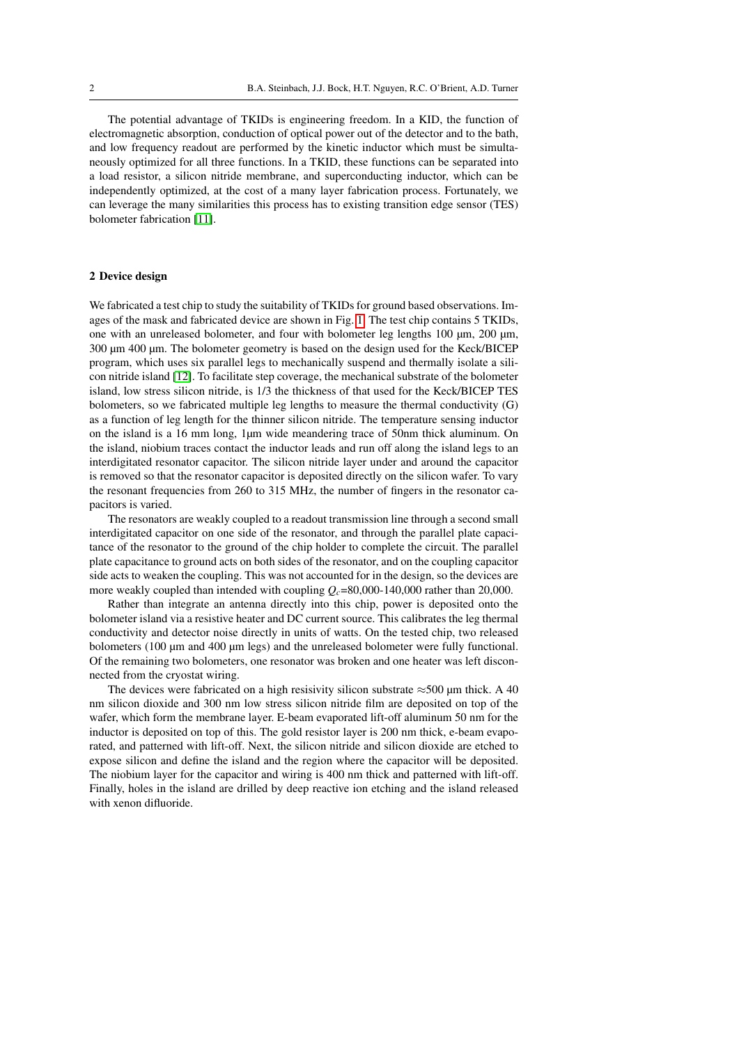The potential advantage of TKIDs is engineering freedom. In a KID, the function of electromagnetic absorption, conduction of optical power out of the detector and to the bath, and low frequency readout are performed by the kinetic inductor which must be simultaneously optimized for all three functions. In a TKID, these functions can be separated into a load resistor, a silicon nitride membrane, and superconducting inductor, which can be independently optimized, at the cost of a many layer fabrication process. Fortunately, we can leverage the many similarities this process has to existing transition edge sensor (TES) bolometer fabrication [\[11\]](#page-6-6).

### 2 Device design

We fabricated a test chip to study the suitability of TKIDs for ground based observations. Images of the mask and fabricated device are shown in Fig. [1.](#page-2-0) The test chip contains 5 TKIDs, one with an unreleased bolometer, and four with bolometer leg lengths 100 µm, 200 µm, 300 µm 400 µm. The bolometer geometry is based on the design used for the Keck/BICEP program, which uses six parallel legs to mechanically suspend and thermally isolate a silicon nitride island [\[12\]](#page-7-0). To facilitate step coverage, the mechanical substrate of the bolometer island, low stress silicon nitride, is 1/3 the thickness of that used for the Keck/BICEP TES bolometers, so we fabricated multiple leg lengths to measure the thermal conductivity (G) as a function of leg length for the thinner silicon nitride. The temperature sensing inductor on the island is a 16 mm long, 1µm wide meandering trace of 50nm thick aluminum. On the island, niobium traces contact the inductor leads and run off along the island legs to an interdigitated resonator capacitor. The silicon nitride layer under and around the capacitor is removed so that the resonator capacitor is deposited directly on the silicon wafer. To vary the resonant frequencies from 260 to 315 MHz, the number of fingers in the resonator capacitors is varied.

The resonators are weakly coupled to a readout transmission line through a second small interdigitated capacitor on one side of the resonator, and through the parallel plate capacitance of the resonator to the ground of the chip holder to complete the circuit. The parallel plate capacitance to ground acts on both sides of the resonator, and on the coupling capacitor side acts to weaken the coupling. This was not accounted for in the design, so the devices are more weakly coupled than intended with coupling  $Q_c$ =80,000-140,000 rather than 20,000.

Rather than integrate an antenna directly into this chip, power is deposited onto the bolometer island via a resistive heater and DC current source. This calibrates the leg thermal conductivity and detector noise directly in units of watts. On the tested chip, two released bolometers (100  $\mu$ m and 400  $\mu$ m legs) and the unreleased bolometer were fully functional. Of the remaining two bolometers, one resonator was broken and one heater was left disconnected from the cryostat wiring.

The devices were fabricated on a high resisivity silicon substrate  $\approx$  500 µm thick. A 40 nm silicon dioxide and 300 nm low stress silicon nitride film are deposited on top of the wafer, which form the membrane layer. E-beam evaporated lift-off aluminum 50 nm for the inductor is deposited on top of this. The gold resistor layer is 200 nm thick, e-beam evaporated, and patterned with lift-off. Next, the silicon nitride and silicon dioxide are etched to expose silicon and define the island and the region where the capacitor will be deposited. The niobium layer for the capacitor and wiring is 400 nm thick and patterned with lift-off. Finally, holes in the island are drilled by deep reactive ion etching and the island released with xenon difluoride.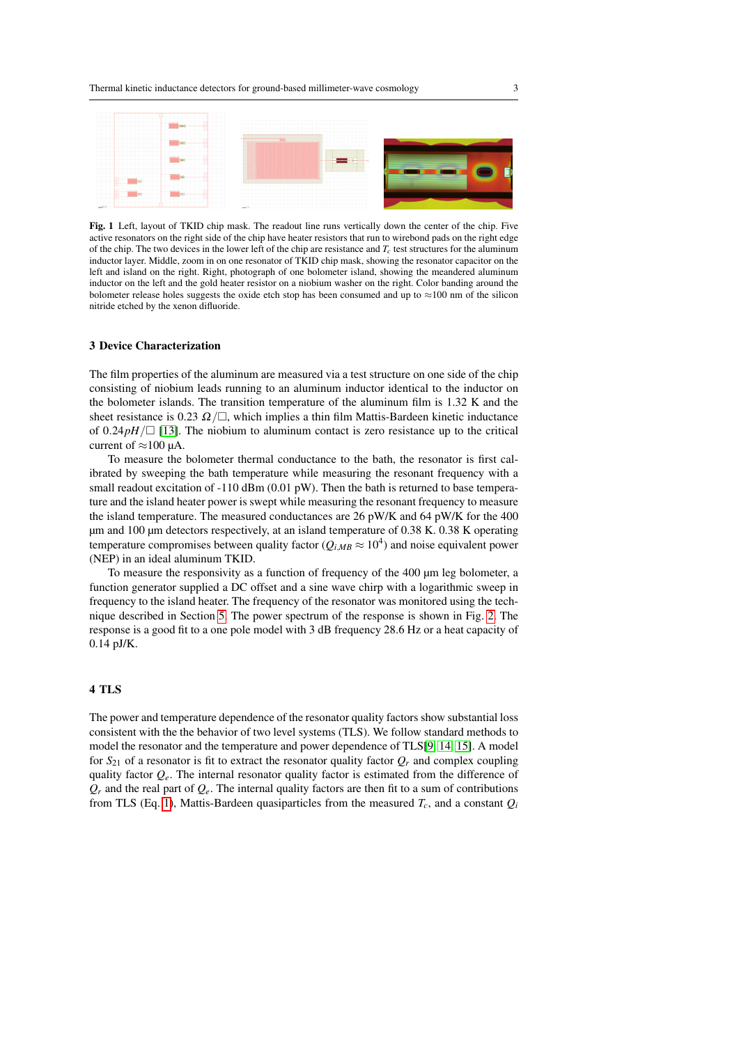

<span id="page-2-0"></span>Fig. 1 Left, layout of TKID chip mask. The readout line runs vertically down the center of the chip. Five active resonators on the right side of the chip have heater resistors that run to wirebond pads on the right edge of the chip. The two devices in the lower left of the chip are resistance and  $T_c$  test structures for the aluminum inductor layer. Middle, zoom in on one resonator of TKID chip mask, showing the resonator capacitor on the left and island on the right. Right, photograph of one bolometer island, showing the meandered aluminum inductor on the left and the gold heater resistor on a niobium washer on the right. Color banding around the bolometer release holes suggests the oxide etch stop has been consumed and up to  $\approx$ 100 nm of the silicon nitride etched by the xenon difluoride.

## 3 Device Characterization

The film properties of the aluminum are measured via a test structure on one side of the chip consisting of niobium leads running to an aluminum inductor identical to the inductor on the bolometer islands. The transition temperature of the aluminum film is 1.32 K and the sheet resistance is 0.23  $\Omega/\square$ , which implies a thin film Mattis-Bardeen kinetic inductance of  $0.24pH/$  [\[13\]](#page-7-1). The niobium to aluminum contact is zero resistance up to the critical current of  $\approx$ 100 µA.

To measure the bolometer thermal conductance to the bath, the resonator is first calibrated by sweeping the bath temperature while measuring the resonant frequency with a small readout excitation of  $-110$  dBm (0.01 pW). Then the bath is returned to base temperature and the island heater power is swept while measuring the resonant frequency to measure the island temperature. The measured conductances are 26 pW/K and 64 pW/K for the 400 µm and 100 µm detectors respectively, at an island temperature of 0.38 K. 0.38 K operating temperature compromises between quality factor ( $Q_{i,MB} \approx 10^4$ ) and noise equivalent power (NEP) in an ideal aluminum TKID.

To measure the responsivity as a function of frequency of the 400 µm leg bolometer, a function generator supplied a DC offset and a sine wave chirp with a logarithmic sweep in frequency to the island heater. The frequency of the resonator was monitored using the technique described in Section [5.](#page-4-0) The power spectrum of the response is shown in Fig. [2.](#page-3-0) The response is a good fit to a one pole model with 3 dB frequency 28.6 Hz or a heat capacity of 0.14 pJ/K.

## 4 TLS

The power and temperature dependence of the resonator quality factors show substantial loss consistent with the the behavior of two level systems (TLS). We follow standard methods to model the resonator and the temperature and power dependence of TLS[\[9,](#page-6-7) [14,](#page-7-2) [15\]](#page-7-3). A model for  $S_{21}$  of a resonator is fit to extract the resonator quality factor  $Q_r$  and complex coupling quality factor  $Q_e$ . The internal resonator quality factor is estimated from the difference of  $Q_r$  and the real part of  $Q_e$ . The internal quality factors are then fit to a sum of contributions from TLS (Eq. [1\)](#page-3-1), Mattis-Bardeen quasiparticles from the measured  $T_c$ , and a constant  $Q_i$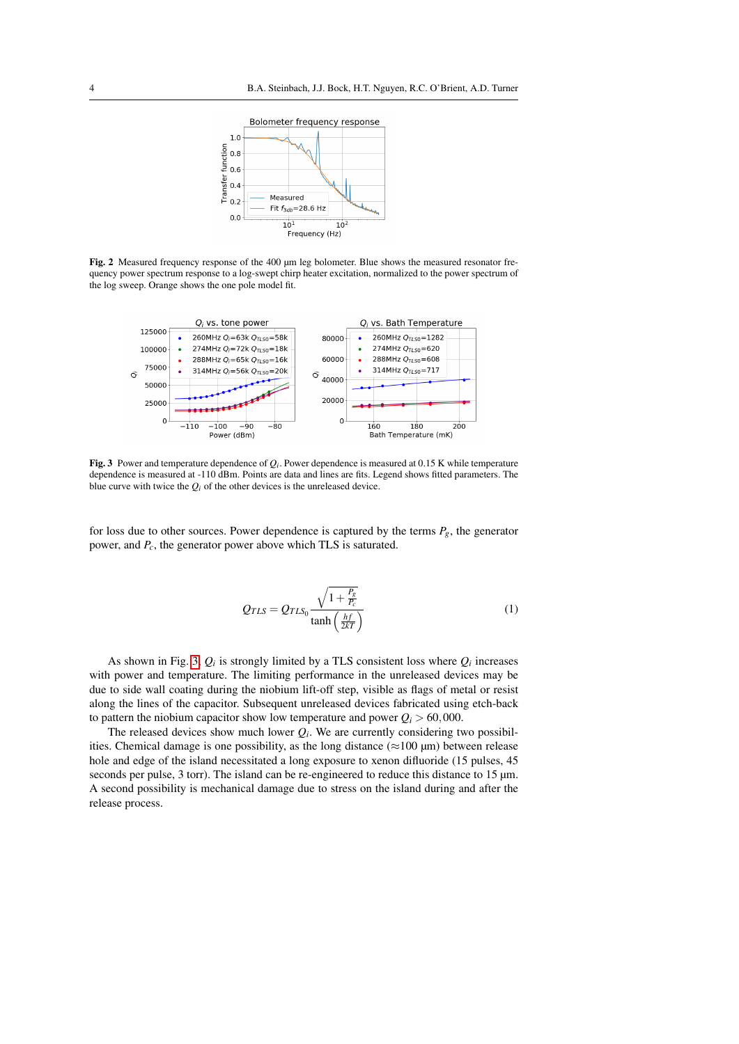

<span id="page-3-0"></span>Fig. 2 Measured frequency response of the 400 µm leg bolometer. Blue shows the measured resonator frequency power spectrum response to a log-swept chirp heater excitation, normalized to the power spectrum of the log sweep. Orange shows the one pole model fit.



<span id="page-3-2"></span>**Fig. 3** Power and temperature dependence of  $Q_i$ . Power dependence is measured at 0.15 K while temperature dependence is measured at -110 dBm. Points are data and lines are fits. Legend shows fitted parameters. The blue curve with twice the  $Q_i$  of the other devices is the unreleased device.

for loss due to other sources. Power dependence is captured by the terms  $P_g$ , the generator power, and *Pc*, the generator power above which TLS is saturated.

<span id="page-3-1"></span>
$$
Q_{TLS} = Q_{TLS_0} \frac{\sqrt{1 + \frac{P_g}{P_c}}}{\tanh\left(\frac{hf}{2kT}\right)}\tag{1}
$$

As shown in Fig. [3,](#page-3-2)  $Q_i$  is strongly limited by a TLS consistent loss where  $Q_i$  increases with power and temperature. The limiting performance in the unreleased devices may be due to side wall coating during the niobium lift-off step, visible as flags of metal or resist along the lines of the capacitor. Subsequent unreleased devices fabricated using etch-back to pattern the niobium capacitor show low temperature and power  $Q_i > 60,000$ .

The released devices show much lower  $Q_i$ . We are currently considering two possibilities. Chemical damage is one possibility, as the long distance ( $\approx$ 100 µm) between release hole and edge of the island necessitated a long exposure to xenon difluoride (15 pulses, 45 seconds per pulse, 3 torr). The island can be re-engineered to reduce this distance to 15  $\mu$ m. A second possibility is mechanical damage due to stress on the island during and after the release process.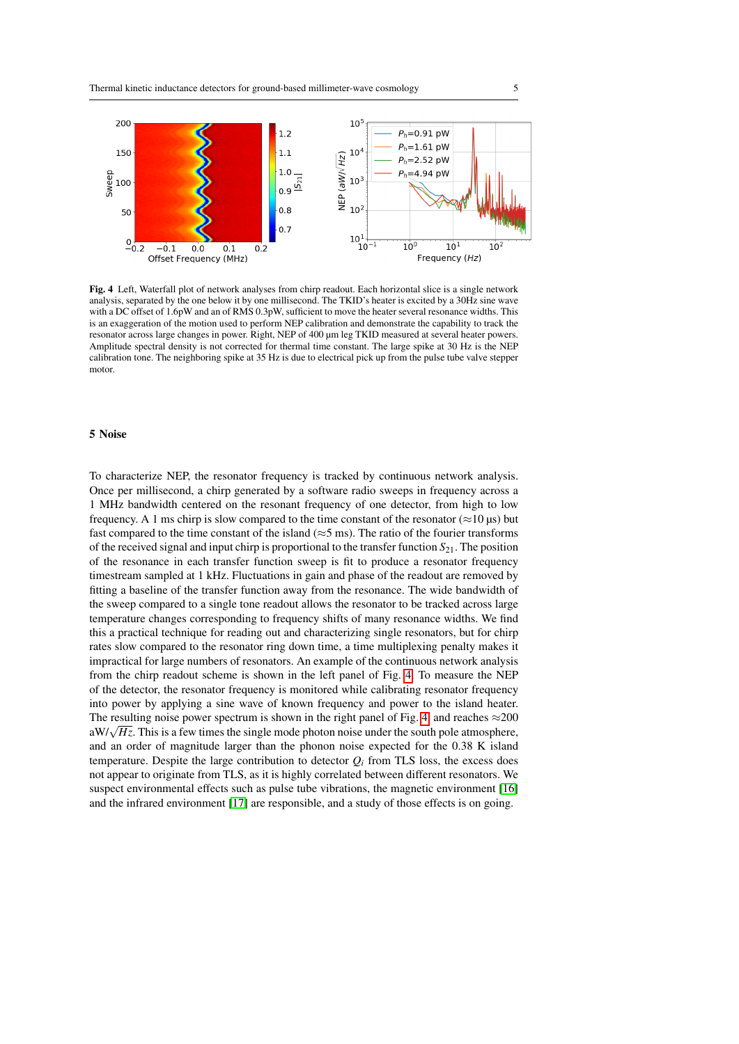

<span id="page-4-1"></span>Fig. 4 Left, Waterfall plot of network analyses from chirp readout. Each horizontal slice is a single network analysis, separated by the one below it by one millisecond. The TKID's heater is excited by a 30Hz sine wave with a DC offset of 1.6pW and an of RMS 0.3pW, sufficient to move the heater several resonance widths. This is an exaggeration of the motion used to perform NEP calibration and demonstrate the capability to track the resonator across large changes in power. Right, NEP of 400 µm leg TKID measured at several heater powers. Amplitude spectral density is not corrected for thermal time constant. The large spike at 30 Hz is the NEP calibration tone. The neighboring spike at 35 Hz is due to electrical pick up from the pulse tube valve stepper motor.

#### <span id="page-4-0"></span>5 Noise

To characterize NEP, the resonator frequency is tracked by continuous network analysis. Once per millisecond, a chirp generated by a software radio sweeps in frequency across a 1 MHz bandwidth centered on the resonant frequency of one detector, from high to low frequency. A 1 ms chirp is slow compared to the time constant of the resonator ( $\approx$ 10 µs) but fast compared to the time constant of the island ( $\approx$ 5 ms). The ratio of the fourier transforms of the received signal and input chirp is proportional to the transfer function *S*21. The position of the resonance in each transfer function sweep is fit to produce a resonator frequency timestream sampled at 1 kHz. Fluctuations in gain and phase of the readout are removed by fitting a baseline of the transfer function away from the resonance. The wide bandwidth of the sweep compared to a single tone readout allows the resonator to be tracked across large temperature changes corresponding to frequency shifts of many resonance widths. We find this a practical technique for reading out and characterizing single resonators, but for chirp rates slow compared to the resonator ring down time, a time multiplexing penalty makes it impractical for large numbers of resonators. An example of the continuous network analysis from the chirp readout scheme is shown in the left panel of Fig. [4.](#page-4-1) To measure the NEP of the detector, the resonator frequency is monitored while calibrating resonator frequency into power by applying a sine wave of known frequency and power to the island heater. The resulting noise power spectrum is shown in the right panel of Fig. [4,](#page-4-1) and reaches  $\approx$  200 The resulting holder power spectrum is shown in the right panel of Fig. 4, and reaches  $\approx$  200 aW/ $\sqrt{Hz}$ . This is a few times the single mode photon noise under the south pole atmosphere, and an order of magnitude larger than the phonon noise expected for the 0.38 K island temperature. Despite the large contribution to detector  $Q_i$  from TLS loss, the excess does not appear to originate from TLS, as it is highly correlated between different resonators. We suspect environmental effects such as pulse tube vibrations, the magnetic environment [\[16\]](#page-7-4) and the infrared environment [\[17\]](#page-7-5) are responsible, and a study of those effects is on going.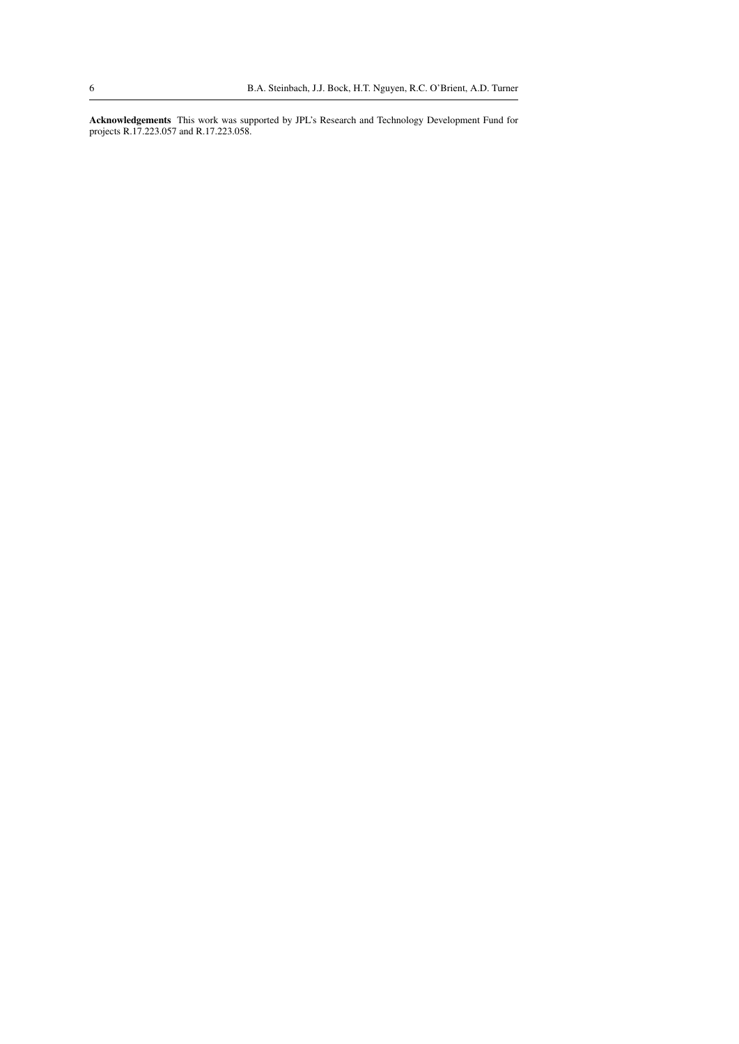Acknowledgements This work was supported by JPL's Research and Technology Development Fund for projects R.17.223.057 and R.17.223.058.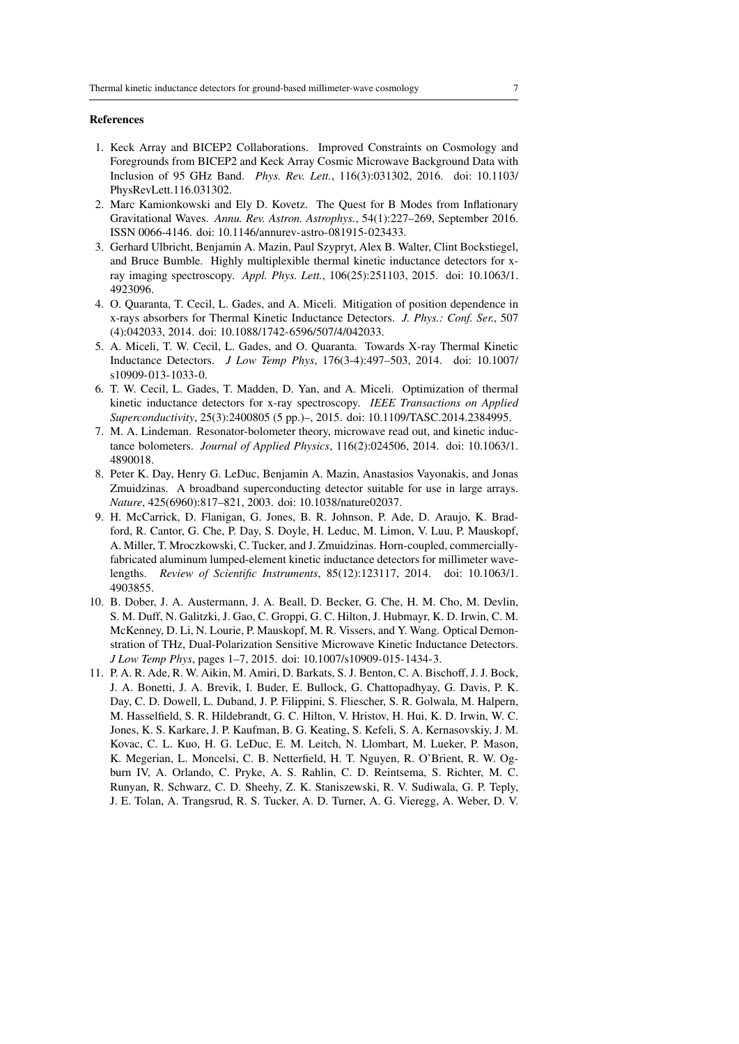#### References

- <span id="page-6-0"></span>1. Keck Array and BICEP2 Collaborations. Improved Constraints on Cosmology and Foregrounds from BICEP2 and Keck Array Cosmic Microwave Background Data with Inclusion of 95 GHz Band. *Phys. Rev. Lett.*, 116(3):031302, 2016. doi: 10.1103/ PhysRevLett.116.031302.
- <span id="page-6-1"></span>2. Marc Kamionkowski and Ely D. Kovetz. The Quest for B Modes from Inflationary Gravitational Waves. *Annu. Rev. Astron. Astrophys.*, 54(1):227–269, September 2016. ISSN 0066-4146. doi: 10.1146/annurev-astro-081915-023433.
- <span id="page-6-2"></span>3. Gerhard Ulbricht, Benjamin A. Mazin, Paul Szypryt, Alex B. Walter, Clint Bockstiegel, and Bruce Bumble. Highly multiplexible thermal kinetic inductance detectors for xray imaging spectroscopy. *Appl. Phys. Lett.*, 106(25):251103, 2015. doi: 10.1063/1. 4923096.
- 4. O. Quaranta, T. Cecil, L. Gades, and A. Miceli. Mitigation of position dependence in x-rays absorbers for Thermal Kinetic Inductance Detectors. *J. Phys.: Conf. Ser.*, 507 (4):042033, 2014. doi: 10.1088/1742-6596/507/4/042033.
- 5. A. Miceli, T. W. Cecil, L. Gades, and O. Quaranta. Towards X-ray Thermal Kinetic Inductance Detectors. *J Low Temp Phys*, 176(3-4):497–503, 2014. doi: 10.1007/ s10909-013-1033-0.
- 6. T. W. Cecil, L. Gades, T. Madden, D. Yan, and A. Miceli. Optimization of thermal kinetic inductance detectors for x-ray spectroscopy. *IEEE Transactions on Applied Superconductivity*, 25(3):2400805 (5 pp.)–, 2015. doi: 10.1109/TASC.2014.2384995.
- <span id="page-6-3"></span>7. M. A. Lindeman. Resonator-bolometer theory, microwave read out, and kinetic inductance bolometers. *Journal of Applied Physics*, 116(2):024506, 2014. doi: 10.1063/1. 4890018.
- <span id="page-6-4"></span>8. Peter K. Day, Henry G. LeDuc, Benjamin A. Mazin, Anastasios Vayonakis, and Jonas Zmuidzinas. A broadband superconducting detector suitable for use in large arrays. *Nature*, 425(6960):817–821, 2003. doi: 10.1038/nature02037.
- <span id="page-6-7"></span>9. H. McCarrick, D. Flanigan, G. Jones, B. R. Johnson, P. Ade, D. Araujo, K. Bradford, R. Cantor, G. Che, P. Day, S. Doyle, H. Leduc, M. Limon, V. Luu, P. Mauskopf, A. Miller, T. Mroczkowski, C. Tucker, and J. Zmuidzinas. Horn-coupled, commerciallyfabricated aluminum lumped-element kinetic inductance detectors for millimeter wavelengths. *Review of Scientific Instruments*, 85(12):123117, 2014. doi: 10.1063/1. 4903855.
- <span id="page-6-5"></span>10. B. Dober, J. A. Austermann, J. A. Beall, D. Becker, G. Che, H. M. Cho, M. Devlin, S. M. Duff, N. Galitzki, J. Gao, C. Groppi, G. C. Hilton, J. Hubmayr, K. D. Irwin, C. M. McKenney, D. Li, N. Lourie, P. Mauskopf, M. R. Vissers, and Y. Wang. Optical Demonstration of THz, Dual-Polarization Sensitive Microwave Kinetic Inductance Detectors. *J Low Temp Phys*, pages 1–7, 2015. doi: 10.1007/s10909-015-1434-3.
- <span id="page-6-6"></span>11. P. A. R. Ade, R. W. Aikin, M. Amiri, D. Barkats, S. J. Benton, C. A. Bischoff, J. J. Bock, J. A. Bonetti, J. A. Brevik, I. Buder, E. Bullock, G. Chattopadhyay, G. Davis, P. K. Day, C. D. Dowell, L. Duband, J. P. Filippini, S. Fliescher, S. R. Golwala, M. Halpern, M. Hasselfield, S. R. Hildebrandt, G. C. Hilton, V. Hristov, H. Hui, K. D. Irwin, W. C. Jones, K. S. Karkare, J. P. Kaufman, B. G. Keating, S. Kefeli, S. A. Kernasovskiy, J. M. Kovac, C. L. Kuo, H. G. LeDuc, E. M. Leitch, N. Llombart, M. Lueker, P. Mason, K. Megerian, L. Moncelsi, C. B. Netterfield, H. T. Nguyen, R. O'Brient, R. W. Ogburn IV, A. Orlando, C. Pryke, A. S. Rahlin, C. D. Reintsema, S. Richter, M. C. Runyan, R. Schwarz, C. D. Sheehy, Z. K. Staniszewski, R. V. Sudiwala, G. P. Teply, J. E. Tolan, A. Trangsrud, R. S. Tucker, A. D. Turner, A. G. Vieregg, A. Weber, D. V.